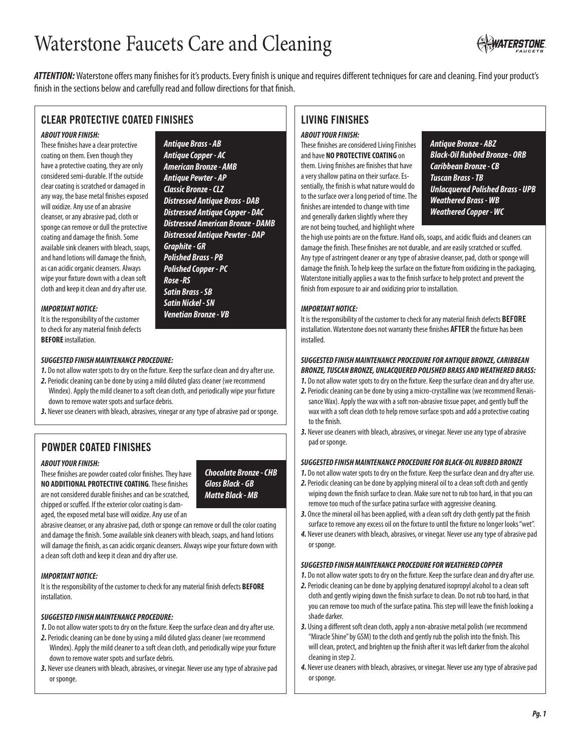# Waterstone Faucets Care and Cleaning



*ATTENTION:* Waterstone offers many finishes for it's products. Every finish is unique and requires different techniques for care and cleaning. Find your product's finish in the sections below and carefully read and follow directions for that finish.

# **CLEAR PROTECTIVE COATED FINISHES**

# *ABOUT YOUR FINISH:*

These finishes have a clear protective coating on them. Even though they have a protective coating, they are only considered semi-durable. If the outside clear coating is scratched or damaged in any way, the base metal finishes exposed will oxidize. Any use of an abrasive cleanser, or any abrasive pad, cloth or sponge can remove or dull the protective coating and damage the finish. Some available sink cleaners with bleach, soaps, and hand lotions will damage the finish, as can acidic organic cleansers. Always wipe your fixture down with a clean soft cloth and keep it clean and dry after use.

# *IMPORTANT NOTICE:*

It is the responsibility of the customer to check for any material finish defects **BEFORE** installation.

*Antique Brass - AB Antique Copper - AC American Bronze - AMB Antique Pewter - AP Classic Bronze - CLZ Distressed Antique Brass - DAB Distressed Antique Copper - DAC Distressed American Bronze - DAMB Distressed Antique Pewter - DAP Graphite - GR Polished Brass - PB Polished Copper - PC Rose -RS Satin Brass - SB Satin Nickel - SN Venetian Bronze - VB*

## *SUGGESTED FINISH MAINTENANCE PROCEDURE:*

- *1.* Do not allow water spots to dry on the fixture. Keep the surface clean and dry after use.
- *2.* Periodic cleaning can be done by using a mild diluted glass cleaner (we recommend Windex). Apply the mild cleaner to a soft clean cloth, and periodically wipe your fixture down to remove water spots and surface debris.
- *3.* Never use cleaners with bleach, abrasives, vinegar or any type of abrasive pad or sponge.

# **POWDER COATED FINISHES**

#### *ABOUT YOUR FINISH:*

These finishes are powder coated color finishes. They have **NO ADDITIONAL PROTECTIVE COATING**. These finishes are not considered durable finishes and can be scratched, chipped or scuffed. If the exterior color coating is damaged, the exposed metal base will oxidize. Any use of an

*Chocolate Bronze - CHB Gloss Black - GB Matte Black - MB*

abrasive cleanser, or any abrasive pad, cloth or sponge can remove or dull the color coating and damage the finish. Some available sink cleaners with bleach, soaps, and hand lotions will damage the finish, as can acidic organic cleansers. Always wipe your fixture down with a clean soft cloth and keep it clean and dry after use.

## *IMPORTANT NOTICE:*

It is the responsibility of the customer to check for any material finish defects **BEFORE** installation.

## *SUGGESTED FINISH MAINTENANCE PROCEDURE:*

- *1.* Do not allow water spots to dry on the fixture. Keep the surface clean and dry after use.
- *2.* Periodic cleaning can be done by using a mild diluted glass cleaner (we recommend Windex). Apply the mild cleaner to a soft clean cloth, and periodically wipe your fixture down to remove water spots and surface debris.
- *3.* Never use cleaners with bleach, abrasives, or vinegar. Never use any type of abrasive pad or sponge.

# **LIVING FINISHES**

# *ABOUT YOUR FINISH:*

These finishes are considered Living Finishes and have **NO PROTECTIVE COATING** on them. Living finishes are finishes that have a very shallow patina on their surface. Essentially, the finish is what nature would do to the surface over a long period of time. The finishes are intended to change with time and generally darken slightly where they are not being touched, and highlight where

*Antique Bronze - ABZ Black-Oil Rubbed Bronze - ORB Caribbean Bronze - CB Tuscan Brass - TB Unlacquered Polished Brass - UPB Weathered Brass - WB Weathered Copper - WC*

the high use points are on the fixture. Hand oils, soaps, and acidic fluids and cleaners can damage the finish. These finishes are not durable, and are easily scratched or scuffed. Any type of astringent cleaner or any type of abrasive cleanser, pad, cloth or sponge will damage the finish. To help keep the surface on the fixture from oxidizing in the packaging, Waterstone initially applies a wax to the finish surface to help protect and prevent the finish from exposure to air and oxidizing prior to installation.

## *IMPORTANT NOTICE:*

It is the responsibility of the customer to check for any material finish defects **BEFORE** installation. Waterstone does not warranty these finishes **AFTER** the fixture has been installed.

## *SUGGESTED FINISH MAINTENANCE PROCEDURE FOR ANTIQUE BRONZE, CARIBBEAN BRONZE, TUSCAN BRONZE, UNLACQUERED POLISHED BRASS AND WEATHERED BRASS:*

- *1.* Do not allow water spots to dry on the fixture. Keep the surface clean and dry after use.
- *2.* Periodic cleaning can be done by using a micro-crystalline wax (we recommend Renaissance Wax). Apply the wax with a soft non-abrasive tissue paper, and gently buff the wax with a soft clean cloth to help remove surface spots and add a protective coating to the finish.
- *3.* Never use cleaners with bleach, abrasives, or vinegar. Never use any type of abrasive pad or sponge.

#### *SUGGESTED FINISH MAINTENANCE PROCEDURE FOR BLACK-OIL RUBBED BRONZE*

- *1.* Do not allow water spots to dry on the fixture. Keep the surface clean and dry after use.
- *2.* Periodic cleaning can be done by applying mineral oil to a clean soft cloth and gently wiping down the finish surface to clean. Make sure not to rub too hard, in that you can remove too much of the surface patina surface with aggressive cleaning.
- 3. Once the mineral oil has been applied, with a clean soft dry cloth gently pat the finish surface to remove any excess oil on the fixture to until the fixture no longer looks "wet".
- *4.* Never use cleaners with bleach, abrasives, or vinegar. Never use any type of abrasive pad or sponge.

#### *SUGGESTED FINISH MAINTENANCE PROCEDURE FOR WEATHERED COPPER*

- *1.* Do not allow water spots to dry on the fixture. Keep the surface clean and dry after use.
- *2.* Periodic cleaning can be done by applying denatured isopropyl alcohol to a clean soft cloth and gently wiping down the finish surface to clean. Do not rub too hard, in that you can remove too much of the surface patina. This step will leave the finish looking a shade darker.
- 3. Using a different soft clean cloth, apply a non-abrasive metal polish (we recommend "Miracle Shine" by GSM) to the cloth and gently rub the polish into the finish. This will clean, protect, and brighten up the finish after it was left darker from the alcohol cleaning in step 2.
- *4.* Never use cleaners with bleach, abrasives, or vinegar. Never use any type of abrasive pad or sponge.